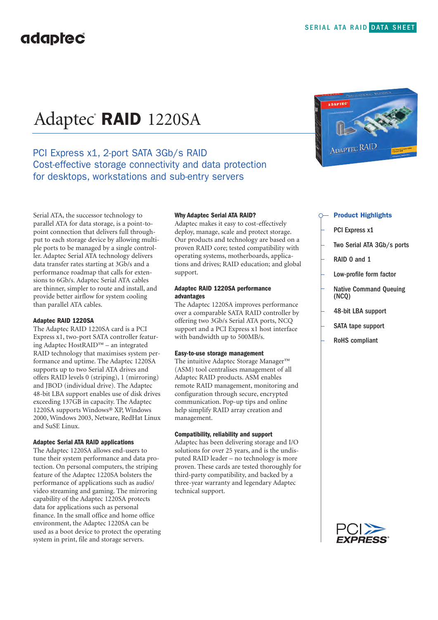# Adaptec® **RAID** 1220SA

### PCI Express x1, 2-port SATA 3Gb/s RAID Cost-effective storage connectivity and data protection for desktops, workstations and sub-entry servers

Serial ATA, the successor technology to parallel ATA for data storage, is a point-topoint connection that delivers full throughput to each storage device by allowing multiple ports to be managed by a single controller. Adaptec Serial ATA technology delivers data transfer rates starting at 3Gb/s and a performance roadmap that calls for extensions to 6Gb/s. Adaptec Serial ATA cables are thinner, simpler to route and install, and provide better airflow for system cooling than parallel ATA cables.

#### **Adaptec RAID 1220SA**

The Adaptec RAID 1220SA card is a PCI Express x1, two-port SATA controller featuring Adaptec HostRAID™ – an integrated RAID technology that maximises system performance and uptime. The Adaptec 1220SA supports up to two Serial ATA drives and offers RAID levels 0 (striping), 1 (mirroring) and JBOD (individual drive). The Adaptec 48-bit LBA support enables use of disk drives exceeding 137GB in capacity. The Adaptec 1220SA supports Windows® XP, Windows 2000, Windows 2003, Netware, RedHat Linux and SuSE Linux.

#### **Adaptec Serial ATA RAID applications**

The Adaptec 1220SA allows end-users to tune their system performance and data protection. On personal computers, the striping feature of the Adaptec 1220SA bolsters the performance of applications such as audio/ video streaming and gaming. The mirroring capability of the Adaptec 1220SA protects data for applications such as personal finance. In the small office and home office environment, the Adaptec 1220SA can be used as a boot device to protect the operating system in print, file and storage servers.

#### **Why Adaptec Serial ATA RAID?**

Adaptec makes it easy to cost-effectively deploy, manage, scale and protect storage. Our products and technology are based on a proven RAID core; tested compatibility with operating systems, motherboards, applications and drives; RAID education; and global support.

#### **Adaptec RAID 1220SA performance advantages**

The Adaptec 1220SA improves performance over a comparable SATA RAID controller by offering two 3Gb/s Serial ATA ports, NCQ support and a PCI Express x1 host interface with bandwidth up to 500MB/s.

#### **Easy-to-use storage management**

The intuitive Adaptec Storage Manager™ (ASM) tool centralises management of all Adaptec RAID products. ASM enables remote RAID management, monitoring and configuration through secure, encrypted communication. Pop-up tips and online help simplify RAID array creation and management.

#### **Compatibility, reliability and support**

Adaptec has been delivering storage and I/O solutions for over 25 years, and is the undisputed RAID leader – no technology is more proven. These cards are tested thoroughly for third-party compatibility, and backed by a three-year warranty and legendary Adaptec technical support.



#### **Product Highlights**

- PCI Express x1
- Two Serial ATA 3Gb/s ports
- RAID 0 and 1
- Low-profile form factor
- Native Command Queuing (NCQ)
- 48-bit LBA support
- SATA tape support
- RoHS compliant